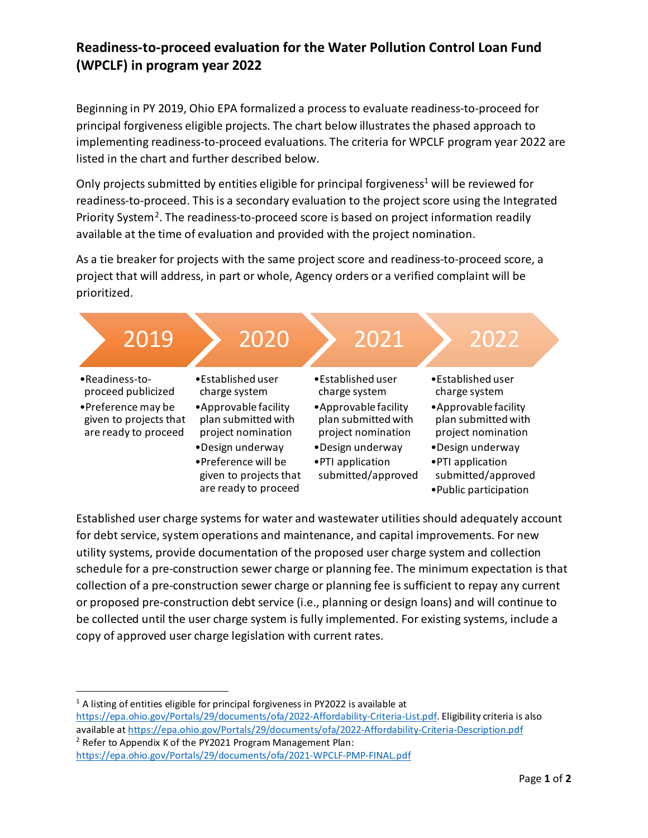## **Readiness-to-proceed evaluation for the Water Pollution Control Loan Fund (WPCLF) in program year 2022**

Beginning in PY 2019, Ohio EPA formalized a process to evaluate readiness-to-proceed for principal forgiveness eligible projects. The chart below illustrates the phased approach to implementing readiness-to-proceed evaluations. The criteria for WPCLF program year 2022 are listed in the chart and further described below.

Only projects submitted by entities eligible for principal forgiveness<sup>1</sup> will be reviewed for readiness-to-proceed. This is a secondary evaluation to the project score using the Integrated Priority System<sup>2</sup>. The readiness-to-proceed score is based on project information readily available at the time of evaluation and provided with the project nomination.

As a tie breaker for projects with the same project score and readiness-to-proceed score, a project that will address, in part or whole, Agency orders or a verified complaint will be prioritized.



Established user charge systems for water and wastewater utilities should adequately account for debt service, system operations and maintenance, and capital improvements. For new utility systems, provide documentation of the proposed user charge system and collection schedule for a pre-construction sewer charge or planning fee. The minimum expectation is that collection of a pre-construction sewer charge or planning fee is sufficient to repay any current or proposed pre-construction debt service (i.e., planning or design loans) and will continue to be collected until the user charge system is fully implemented. For existing systems, include a copy of approved user charge legislation with current rates.

<span id="page-0-0"></span> $1$  A listing of entities eligible for principal forgiveness in PY2022 is available at [https://epa.ohio.gov/Portals/29/documents/ofa/2022-Affordability-Criteria-List.pdf.](https://epa.ohio.gov/Portals/29/documents/ofa/2022-Affordability-Criteria-List.pdf) Eligibility criteria is also available a[t https://epa.ohio.gov/Portals/29/documents/ofa/2022-Affordability-Criteria-Description.pdf](https://epa.ohio.gov/Portals/29/documents/ofa/2022-Affordability-Criteria-Description.pdf) <sup>2</sup> Refer to Appendix K of the PY2021 Program Management Plan:

<span id="page-0-1"></span><https://epa.ohio.gov/Portals/29/documents/ofa/2021-WPCLF-PMP-FINAL.pdf>